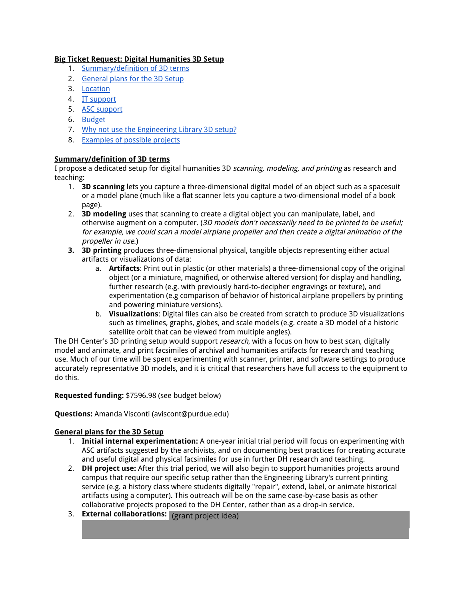# Big Ticket Request: Digital Humanities 3D Setup

- 1. [Summary/definition](#page-0-0) of 3D terms
- 2. [General](#page-0-1) plans for the 3D Setup
- 3. [Location](#page-1-0)
- 4. IT [support](#page-1-1)
- 5. ASC [support](#page-1-2)
- 6. [Budget](#page-1-3)
- 7. Why not use the [Engineering](#page-2-0) Library 3D setup?
- 8. [Examples](#page-2-1) of possible projects

# <span id="page-0-0"></span>Summary/definition of 3D terms

I propose a dedicated setup for digital humanities 3D scanning, modeling, and printing as research and teaching:

- 1. **3D scanning** lets you capture a three-dimensional digital model of an object such as a spacesuit or a model plane (much like a flat scanner lets you capture a two-dimensional model of a book page).
- 2. 3D modeling uses that scanning to create a digital object you can manipulate, label, and otherwise augment on a computer. (3D models don't necessarily need to be printed to be useful; for example, we could scan <sup>a</sup> model airplane propeller and then create <sup>a</sup> digital animation of the propeller in use.)
- 3. 3D printing produces three-dimensional physical, tangible objects representing either actual artifacts or visualizations of data:
	- a. Artifacts: Print out in plastic (or other materials) a three-dimensional copy of the original object (or a miniature, magnified, or otherwise altered version) for display and handling, further research (e.g. with previously hard-to-decipher engravings or texture), and experimentation (e.g comparison of behavior of historical airplane propellers by printing and powering miniature versions).
	- b. Visualizations: Digital files can also be created from scratch to produce 3D visualizations such as timelines, graphs, globes, and scale models (e.g. create a 3D model of a historic satellite orbit that can be viewed from multiple angles).

The DH Center's 3D printing setup would support *research*, with a focus on how to best scan, digitally model and animate, and print facsimiles of archival and humanities artifacts for research and teaching use. Much of our time will be spent experimenting with scanner, printer, and software settings to produce accurately representative 3D models, and it is critical that researchers have full access to the equipment to do this.

### Requested funding: \$7596.98 (see budget below)

### Questions: Amanda Visconti (aviscont@purdue.edu)

# <span id="page-0-1"></span>General plans for the 3D Setup

- 1. Initial internal experimentation: A one-year initial trial period will focus on experimenting with ASC artifacts suggested by the archivists, and on documenting best practices for creating accurate and useful digital and physical facsimiles for use in further DH research and teaching.
- 2. DH project use: After this trial period, we will also begin to support humanities projects around campus that require our specific setup rather than the Engineering Library's current printing service (e.g. a history class where students digitally "repair", extend, label, or animate historical artifacts using a computer). This outreach will be on the same case-by-case basis as other collaborative projects proposed to the DH Center, rather than as a drop-in service.
- 3. **External collaborations:** More broadly, the DH Center and ASC could work to analyze to and ASC could work to networking with other existing archival 3D projects (e.g. at the Smithsonian and UVa), with the goal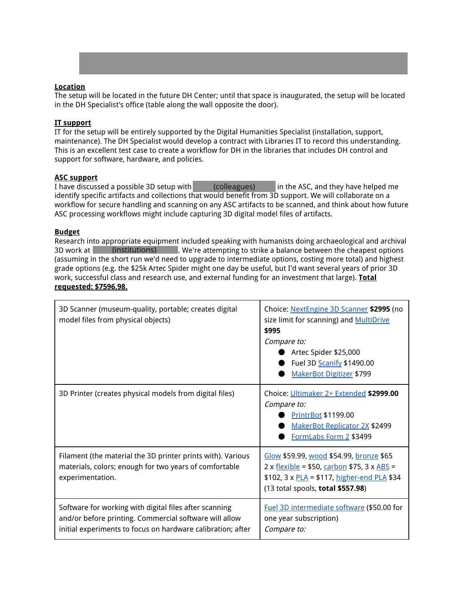

## <span id="page-1-0"></span>Location

The setup will be located in the future DH Center; until that space is inaugurated, the setup will be located in the DH Specialist's office (table along the wall opposite the door).

#### <span id="page-1-1"></span>IT support

IT for the setup will be entirely supported by the Digital Humanities Specialist (installation, support, maintenance). The DH Specialist would develop a contract with Libraries IT to record this understanding. This is an excellent test case to create a workflow for DH in the libraries that includes DH control and support for software, hardware, and policies.

#### <span id="page-1-2"></span>ASC support

I have discussed a possible 3D setup with  $\qquad \qquad$  (colleagues)  $\qquad$  in the ASC, and they have helped me identify specific artifacts and collections that would benefit from 3D support. We will collaborate on a workflow for secure handling and scanning on any ASC artifacts to be scanned, and think about how future ASC processing workflows might include capturing 3D digital model files of artifacts. (colleagues)

#### <span id="page-1-3"></span>Budget

Research into appropriate equipment included speaking with humanists doing archaeological and archival 3D work at state (institutions) and We're attempting to strike a balance between the cheapest options (assuming in the short run we'd need to upgrade to intermediate options, costing more total) and highest grade options (e.g. the \$25k Artec Spider might one day be useful, but I'd want several years of prior 3D work, successful class and research use, and external funding for an investment that large). Total requested: \$7596.98.

| 3D Scanner (museum-quality, portable; creates digital<br>model files from physical objects)                                                                                     | Choice: NextEngine 3D Scanner \$2995 (no<br>size limit for scanning) and <b>MultiDrive</b><br>\$995<br>Compare to:<br>Artec Spider \$25,000<br>Fuel 3D Scanify \$1490.00<br><b>MakerBot Digitizer \$799</b> |
|---------------------------------------------------------------------------------------------------------------------------------------------------------------------------------|-------------------------------------------------------------------------------------------------------------------------------------------------------------------------------------------------------------|
| 3D Printer (creates physical models from digital files)                                                                                                                         | Choice: Ultimaker 2+ Extended \$2999.00<br>Compare to:<br><b>PrintrBot \$1199.00</b><br><b>MakerBot Replicator 2X \$2499</b><br>FormLabs Form 2 \$3499                                                      |
| Filament (the material the 3D printer prints with). Various<br>materials, colors; enough for two years of comfortable<br>experimentation.                                       | Glow \$59.99, wood \$54.99, bronze \$65<br>2 x $flexible$ = \$50, $carbon$ \$75, 3 x $ABS$ =<br>\$102, 3 x $PLA = $117$ , higher-end PLA \$34<br>(13 total spools, total \$557.98)                          |
| Software for working with digital files after scanning<br>and/or before printing. Commercial software will allow<br>initial experiments to focus on hardware calibration; after | Fuel 3D intermediate software (\$50.00 for<br>one year subscription)<br>Compare to:                                                                                                                         |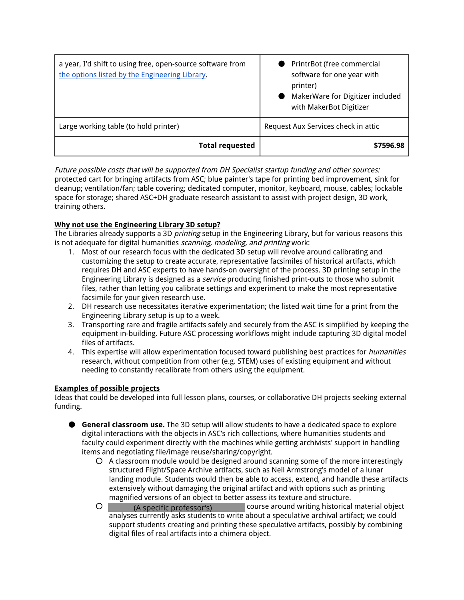| a year, I'd shift to using free, open-source software from<br>the options listed by the Engineering Library. | PrintrBot (free commercial<br>software for one year with<br>printer)<br>MakerWare for Digitizer included<br>with MakerBot Digitizer |
|--------------------------------------------------------------------------------------------------------------|-------------------------------------------------------------------------------------------------------------------------------------|
| Large working table (to hold printer)                                                                        | Request Aux Services check in attic                                                                                                 |
| <b>Total requested</b>                                                                                       | \$7596.98                                                                                                                           |

Future possible costs that will be supported from DH Specialist startup funding and other sources: protected cart for bringing artifacts from ASC; blue painter's tape for printing bed improvement, sink for cleanup; ventilation/fan; table covering; dedicated computer, monitor, keyboard, mouse, cables; lockable space for storage; shared ASC+DH graduate research assistant to assist with project design, 3D work, training others.

# <span id="page-2-0"></span>Why not use the Engineering Library 3D setup?

The Libraries already supports a 3D *printing* setup in the Engineering Library, but for various reasons this is not adequate for digital humanities scanning, modeling, and printing work:

- 1. Most of our research focus with the dedicated 3D setup will revolve around calibrating and customizing the setup to create accurate, representative facsimiles of historical artifacts, which requires DH and ASC experts to have hands-on oversight of the process. 3D printing setup in the Engineering Library is designed as a *service* producing finished print-outs to those who submit files, rather than letting you calibrate settings and experiment to make the most representative facsimile for your given research use.
- 2. DH research use necessitates iterative experimentation; the listed wait time for a print from the Engineering Library setup is up to a week.
- 3. Transporting rare and fragile artifacts safely and securely from the ASC is simplified by keeping the equipment in-building. Future ASC processing workflows might include capturing 3D digital model files of artifacts.
- 4. This expertise will allow experimentation focused toward publishing best practices for *humanities* research, without competition from other (e.g. STEM) uses of existing equipment and without needing to constantly recalibrate from others using the equipment.

## <span id="page-2-1"></span>Examples of possible projects

Ideas that could be developed into full lesson plans, courses, or collaborative DH projects seeking external funding.

- General classroom use. The 3D setup will allow students to have a dedicated space to explore digital interactions with the objects in ASC's rich collections, where humanities students and faculty could experiment directly with the machines while getting archivists' support in handling items and negotiating file/image reuse/sharing/copyright.
	- A classroom module would be designed around scanning some of the more interestingly structured Flight/Space Archive artifacts, such as Neil Armstrong's model of a lunar landing module. Students would then be able to access, extend, and handle these artifacts extensively without damaging the original artifact and with options such as printing magnified versions of an object to better assess its texture and structure.
	- O **English Department Professor's** Course around writing historical material object analyses currently asks students to write about a speculative archival artifact; we could support students creating and printing these speculative artifacts, possibly by combining digital files of real artifacts into a chimera object. (A specific professor's)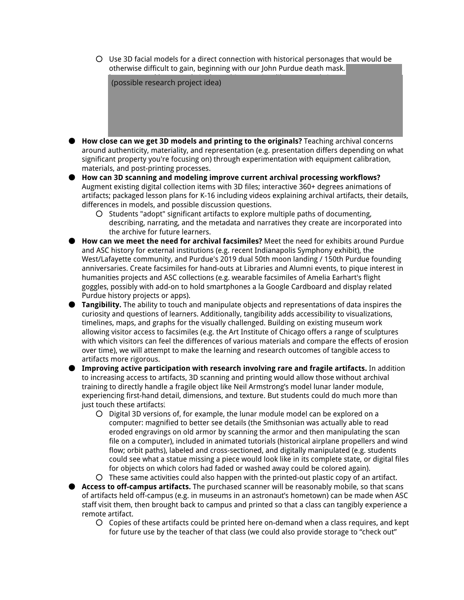○ Use 3D facial models for a direct connection with historical personages that would be otherwise difficult to gain, beginning with our John Purdue death mask.



- How close can we get 3D models and printing to the originals? Teaching archival concerns around authenticity, materiality, and representation (e.g. presentation differs depending on what significant property you're focusing on) through experimentation with equipment calibration, materials, and post-printing processes.
- How can 3D scanning and modeling improve current archival processing workflows? Augment existing digital collection items with 3D files; interactive 360+ degrees animations of artifacts; packaged lesson plans for K-16 including videos explaining archival artifacts, their details, differences in models, and possible discussion questions.
	- Students "adopt" significant artifacts to explore multiple paths of documenting, describing, narrating, and the metadata and narratives they create are incorporated into the archive for future learners.
- How can we meet the need for archival facsimiles? Meet the need for exhibits around Purdue and ASC history for external institutions (e.g. recent Indianapolis Symphony exhibit), the West/Lafayette community, and Purdue's 2019 dual 50th moon landing / 150th Purdue founding anniversaries. Create facsimiles for hand-outs at Libraries and Alumni events, to pique interest in humanities projects and ASC collections (e.g. wearable facsimiles of Amelia Earhart's flight goggles, possibly with add-on to hold smartphones a la Google Cardboard and display related Purdue history projects or apps).
- Tangibility. The ability to touch and manipulate objects and representations of data inspires the curiosity and questions of learners. Additionally, tangibility adds accessibility to visualizations, timelines, maps, and graphs for the visually challenged. Building on existing museum work allowing visitor access to facsimiles (e.g. the Art Institute of Chicago offers a range of sculptures with which visitors can feel the differences of various materials and compare the effects of erosion over time), we will attempt to make the learning and research outcomes of tangible access to artifacts more rigorous.
- Improving active participation with research involving rare and fragile artifacts. In addition to increasing access to artifacts, 3D scanning and printing would allow those without archival training to directly handle a fragile object like Neil Armstrong's model lunar lander module, experiencing first-hand detail, dimensions, and texture. But students could do much more than just touch these artifacts!
	- Digital 3D versions of, for example, the lunar module model can be explored on a computer: magnified to better see details (the Smithsonian was actually able to read eroded engravings on old armor by scanning the armor and then manipulating the scan file on a computer), included in animated tutorials (historical airplane propellers and wind flow; orbit paths), labeled and cross-sectioned, and digitally manipulated (e.g. students could see what a statue missing a piece would look like in its complete state, or digital files for objects on which colors had faded or washed away could be colored again).
	- These same activities could also happen with the printed-out plastic copy of an artifact.
- Access to off-campus artifacts. The purchased scanner will be reasonably mobile, so that scans of artifacts held off-campus (e.g. in museums in an astronaut's hometown) can be made when ASC staff visit them, then brought back to campus and printed so that a class can tangibly experience a remote artifact.
	- Copies of these artifacts could be printed here on-demand when a class requires, and kept for future use by the teacher of that class (we could also provide storage to "check out"